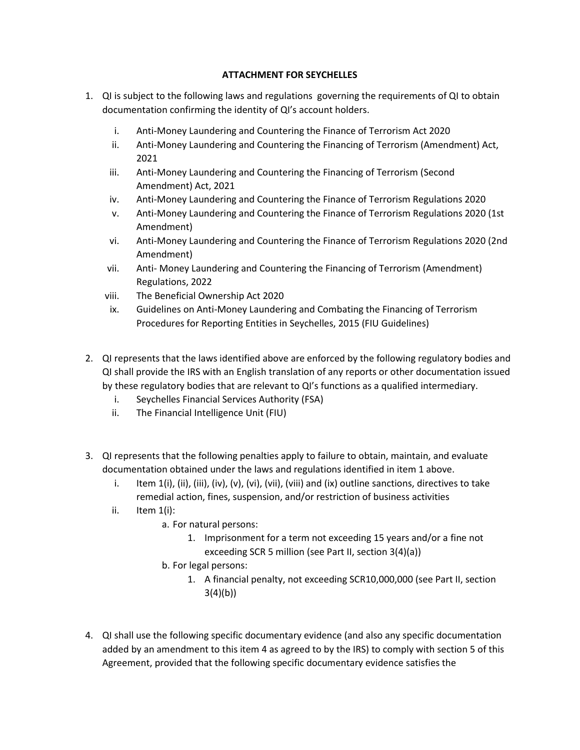## **ATTACHMENT FOR SEYCHELLES**

- 1. QI is subject to the following laws and regulations governing the requirements of QI to obtain documentation confirming the identity of QI's account holders.
	- i. Anti-Money Laundering and Countering the Finance of Terrorism Act 2020
	- ii. Anti-Money Laundering and Countering the Financing of Terrorism (Amendment) Act, 2021
	- iii. Anti-Money Laundering and Countering the Financing of Terrorism (Second Amendment) Act, 2021
	- iv. Anti-Money Laundering and Countering the Finance of Terrorism Regulations 2020
	- v. Anti-Money Laundering and Countering the Finance of Terrorism Regulations 2020 (1st Amendment)
	- vi. Anti-Money Laundering and Countering the Finance of Terrorism Regulations 2020 (2nd Amendment)
	- vii. Anti- Money Laundering and Countering the Financing of Terrorism (Amendment) Regulations, 2022
	- viii. The Beneficial Ownership Act 2020
	- ix. Guidelines on Anti-Money Laundering and Combating the Financing of Terrorism Procedures for Reporting Entities in Seychelles, 2015 (FIU Guidelines)
- 2. QI represents that the laws identified above are enforced by the following regulatory bodies and QI shall provide the IRS with an English translation of any reports or other documentation issued by these regulatory bodies that are relevant to QI's functions as a qualified intermediary.
	- i. Seychelles Financial Services Authority (FSA)
	- ii. The Financial Intelligence Unit (FIU)
- 3. QI represents that the following penalties apply to failure to obtain, maintain, and evaluate documentation obtained under the laws and regulations identified in item 1 above.
	- i. Item  $1(i)$ , (ii), (iii), (iv), (v), (vi), (vii), (viii) and (ix) outline sanctions, directives to take remedial action, fines, suspension, and/or restriction of business activities
	- ii. Item 1(i):
		- a. For natural persons:
			- 1. Imprisonment for a term not exceeding 15 years and/or a fine not exceeding SCR 5 million (see Part II, section 3(4)(a))
		- b. For legal persons:
			- 1. A financial penalty, not exceeding SCR10,000,000 (see Part II, section  $3(4)(b)$
- 4. QI shall use the following specific documentary evidence (and also any specific documentation added by an amendment to this item 4 as agreed to by the IRS) to comply with section 5 of this Agreement, provided that the following specific documentary evidence satisfies the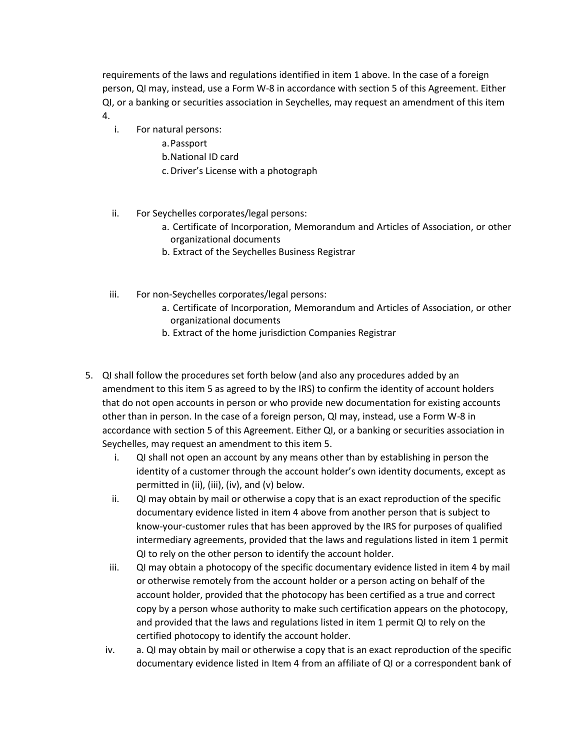requirements of the laws and regulations identified in item 1 above. In the case of a foreign person, QI may, instead, use a Form W-8 in accordance with section 5 of this Agreement. Either QI, or a banking or securities association in Seychelles, may request an amendment of this item 4.

- i. For natural persons:
	- a.Passport
	- b.National ID card
	- c.Driver's License with a photograph
- ii. For Seychelles corporates/legal persons:
	- a. Certificate of Incorporation, Memorandum and Articles of Association, or other organizational documents
	- b. Extract of the Seychelles Business Registrar
- iii. For non-Seychelles corporates/legal persons:
	- a. Certificate of Incorporation, Memorandum and Articles of Association, or other organizational documents
	- b. Extract of the home jurisdiction Companies Registrar
- 5. QI shall follow the procedures set forth below (and also any procedures added by an amendment to this item 5 as agreed to by the IRS) to confirm the identity of account holders that do not open accounts in person or who provide new documentation for existing accounts other than in person. In the case of a foreign person, QI may, instead, use a Form W-8 in accordance with section 5 of this Agreement. Either QI, or a banking or securities association in Seychelles, may request an amendment to this item 5.
	- i. QI shall not open an account by any means other than by establishing in person the identity of a customer through the account holder's own identity documents, except as permitted in (ii), (iii), (iv), and (v) below.
	- ii. QI may obtain by mail or otherwise a copy that is an exact reproduction of the specific documentary evidence listed in item 4 above from another person that is subject to know-your-customer rules that has been approved by the IRS for purposes of qualified intermediary agreements, provided that the laws and regulations listed in item 1 permit QI to rely on the other person to identify the account holder.
	- iii. QI may obtain a photocopy of the specific documentary evidence listed in item 4 by mail or otherwise remotely from the account holder or a person acting on behalf of the account holder, provided that the photocopy has been certified as a true and correct copy by a person whose authority to make such certification appears on the photocopy, and provided that the laws and regulations listed in item 1 permit QI to rely on the certified photocopy to identify the account holder.
	- iv. a. QI may obtain by mail or otherwise a copy that is an exact reproduction of the specific documentary evidence listed in Item 4 from an affiliate of QI or a correspondent bank of